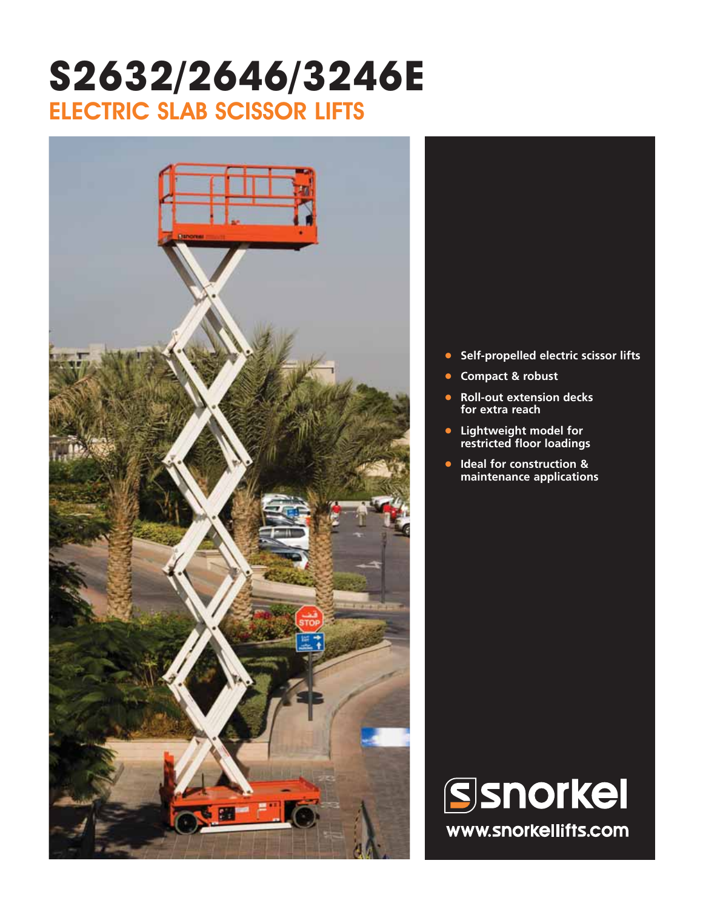## **S2632/2646/3246E** ELECTRIC SLAB SCISSOR LIFTS





- **• Self-propelled electric scissor lifts**
- **• Compact & robust**
- **• Roll-out extension decks for extra reach**
- **• Lightweight model for restricted floor loadings**
- **• Ideal for construction & maintenance applications**